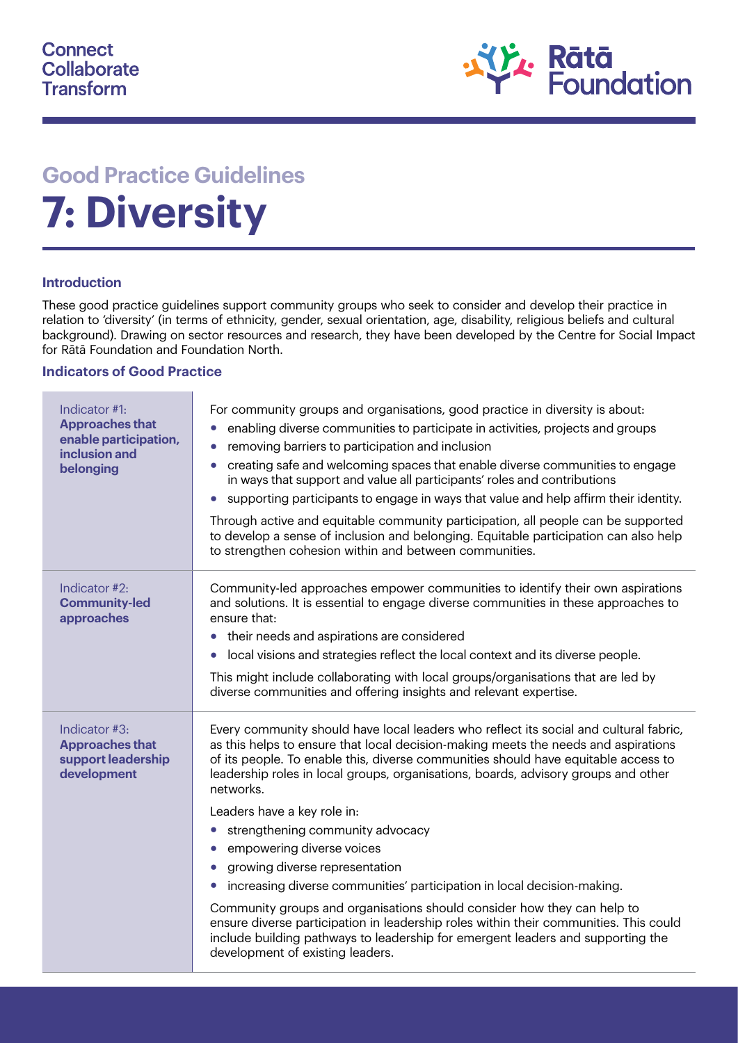

# **Good Practice Guidelines 7: Diversity**

#### **Introduction**

These good practice guidelines support community groups who seek to consider and develop their practice in relation to 'diversity' (in terms of ethnicity, gender, sexual orientation, age, disability, religious beliefs and cultural background). Drawing on sector resources and research, they have been developed by the Centre for Social Impact for Rātā Foundation and Foundation North.

#### **Indicators of Good Practice**

| Indicator #1:<br><b>Approaches that</b><br>enable participation,<br>inclusion and<br>belonging | For community groups and organisations, good practice in diversity is about:<br>enabling diverse communities to participate in activities, projects and groups<br>$\bullet$<br>removing barriers to participation and inclusion<br>creating safe and welcoming spaces that enable diverse communities to engage<br>$\bullet$<br>in ways that support and value all participants' roles and contributions<br>supporting participants to engage in ways that value and help affirm their identity.<br>Through active and equitable community participation, all people can be supported<br>to develop a sense of inclusion and belonging. Equitable participation can also help<br>to strengthen cohesion within and between communities.                                                                                                                                                                |
|------------------------------------------------------------------------------------------------|--------------------------------------------------------------------------------------------------------------------------------------------------------------------------------------------------------------------------------------------------------------------------------------------------------------------------------------------------------------------------------------------------------------------------------------------------------------------------------------------------------------------------------------------------------------------------------------------------------------------------------------------------------------------------------------------------------------------------------------------------------------------------------------------------------------------------------------------------------------------------------------------------------|
| Indicator #2:<br><b>Community-led</b><br>approaches                                            | Community-led approaches empower communities to identify their own aspirations<br>and solutions. It is essential to engage diverse communities in these approaches to<br>ensure that:<br>their needs and aspirations are considered<br>local visions and strategies reflect the local context and its diverse people.<br>$\bullet$<br>This might include collaborating with local groups/organisations that are led by<br>diverse communities and offering insights and relevant expertise.                                                                                                                                                                                                                                                                                                                                                                                                            |
| Indicator #3:<br><b>Approaches that</b><br>support leadership<br>development                   | Every community should have local leaders who reflect its social and cultural fabric,<br>as this helps to ensure that local decision-making meets the needs and aspirations<br>of its people. To enable this, diverse communities should have equitable access to<br>leadership roles in local groups, organisations, boards, advisory groups and other<br>networks.<br>Leaders have a key role in:<br>strengthening community advocacy<br>$\bullet$<br>empowering diverse voices<br>growing diverse representation<br>increasing diverse communities' participation in local decision-making.<br>$\bullet$<br>Community groups and organisations should consider how they can help to<br>ensure diverse participation in leadership roles within their communities. This could<br>include building pathways to leadership for emergent leaders and supporting the<br>development of existing leaders. |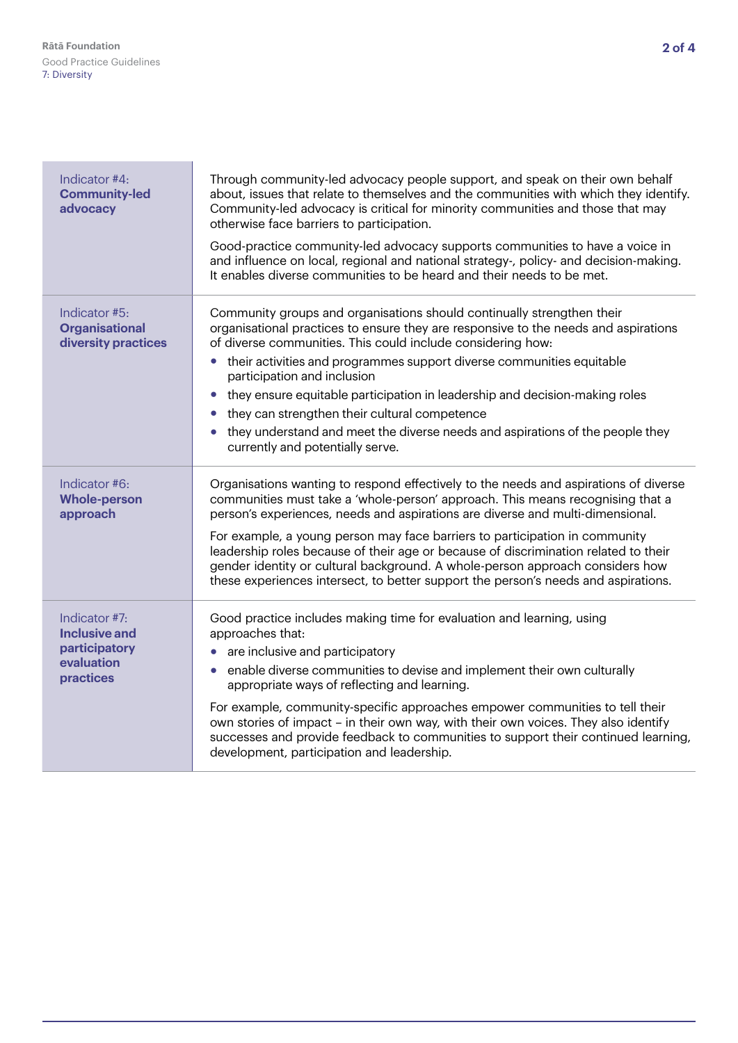| Indicator #4:<br><b>Community-led</b><br>advocacy                                        | Through community-led advocacy people support, and speak on their own behalf<br>about, issues that relate to themselves and the communities with which they identify.<br>Community-led advocacy is critical for minority communities and those that may<br>otherwise face barriers to participation.<br>Good-practice community-led advocacy supports communities to have a voice in<br>and influence on local, regional and national strategy-, policy- and decision-making.<br>It enables diverse communities to be heard and their needs to be met.                                                |
|------------------------------------------------------------------------------------------|-------------------------------------------------------------------------------------------------------------------------------------------------------------------------------------------------------------------------------------------------------------------------------------------------------------------------------------------------------------------------------------------------------------------------------------------------------------------------------------------------------------------------------------------------------------------------------------------------------|
| Indicator #5:<br><b>Organisational</b><br>diversity practices                            | Community groups and organisations should continually strengthen their<br>organisational practices to ensure they are responsive to the needs and aspirations<br>of diverse communities. This could include considering how:<br>• their activities and programmes support diverse communities equitable<br>participation and inclusion<br>they ensure equitable participation in leadership and decision-making roles<br>they can strengthen their cultural competence<br>they understand and meet the diverse needs and aspirations of the people they<br>currently and potentially serve.           |
| Indicator #6:<br><b>Whole-person</b><br>approach                                         | Organisations wanting to respond effectively to the needs and aspirations of diverse<br>communities must take a 'whole-person' approach. This means recognising that a<br>person's experiences, needs and aspirations are diverse and multi-dimensional.<br>For example, a young person may face barriers to participation in community<br>leadership roles because of their age or because of discrimination related to their<br>gender identity or cultural background. A whole-person approach considers how<br>these experiences intersect, to better support the person's needs and aspirations. |
| Indicator #7:<br><b>Inclusive and</b><br>participatory<br>evaluation<br><b>practices</b> | Good practice includes making time for evaluation and learning, using<br>approaches that:<br>are inclusive and participatory<br>enable diverse communities to devise and implement their own culturally<br>appropriate ways of reflecting and learning.<br>For example, community-specific approaches empower communities to tell their<br>own stories of impact – in their own way, with their own voices. They also identify<br>successes and provide feedback to communities to support their continued learning,<br>development, participation and leadership.                                    |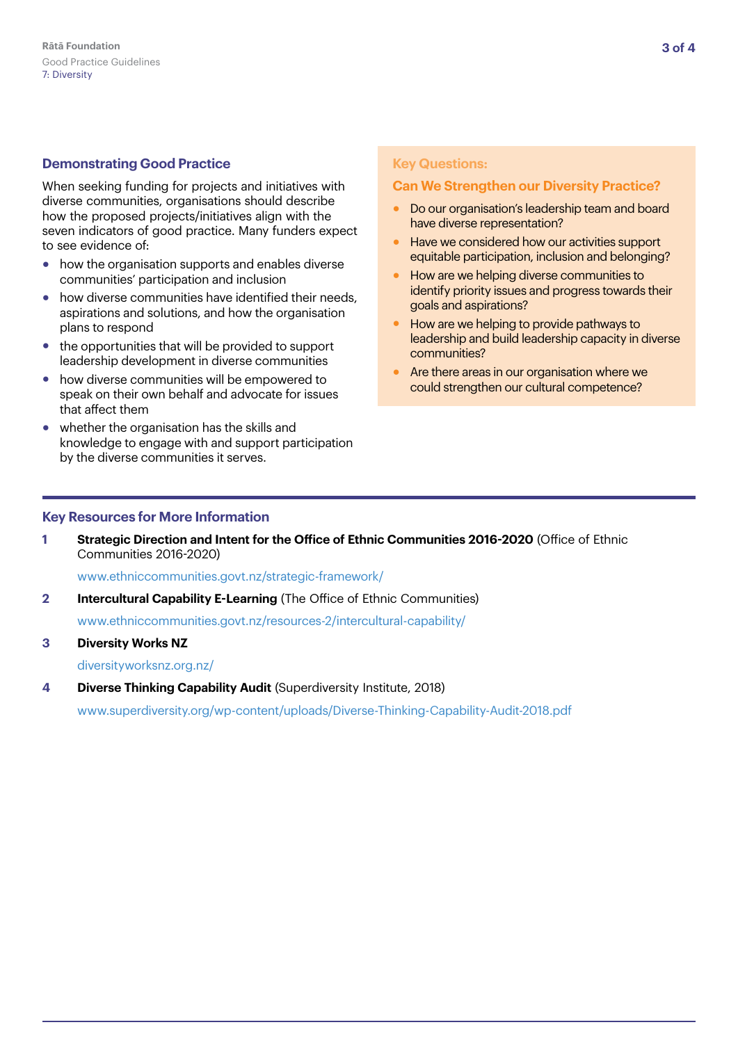## **Demonstrating Good Practice**

When seeking funding for projects and initiatives with diverse communities, organisations should describe how the proposed projects/initiatives align with the seven indicators of good practice. Many funders expect to see evidence of:

- how the organisation supports and enables diverse communities' participation and inclusion
- how diverse communities have identified their needs. aspirations and solutions, and how the organisation plans to respond
- the opportunities that will be provided to support leadership development in diverse communities
- how diverse communities will be empowered to speak on their own behalf and advocate for issues that affect them
- whether the organisation has the skills and knowledge to engage with and support participation by the diverse communities it serves.

#### **Key Questions:**

### **Can We Strengthen our Diversity Practice?**

- Do our organisation's leadership team and board have diverse representation?
- Have we considered how our activities support equitable participation, inclusion and belonging?
- How are we helping diverse communities to identify priority issues and progress towards their goals and aspirations?
- How are we helping to provide pathways to leadership and build leadership capacity in diverse communities?
- Are there areas in our organisation where we could strengthen our cultural competence?

#### **Key Resources for More Information**

**1 Strategic Direction and Intent for the Office of Ethnic Communities 2016-2020** (Office of Ethnic Communities 2016-2020)

[www.ethniccommunities.govt.nz/strategic-framework/](https://www.ethniccommunities.govt.nz/strategic-framework/)

**2 Intercultural Capability E-Learning** (The Office of Ethnic Communities)

[www.ethniccommunities.govt.nz/resources-2/intercultural-capability/](https://www.ethniccommunities.govt.nz/resources-2/intercultural-capability/)

**3 Diversity Works NZ**

[diversityworksnz.org.nz/](https://diversityworksnz.org.nz/)

**4 Diverse Thinking Capability Audit** (Superdiversity Institute, 2018)

[www.superdiversity.org/wp-content/uploads/Diverse-Thinking-Capability-Audit-2018.pdf](https://www.superdiversity.org/wp-content/uploads/Diverse-Thinking-Capability-Audit-2018.pdf)